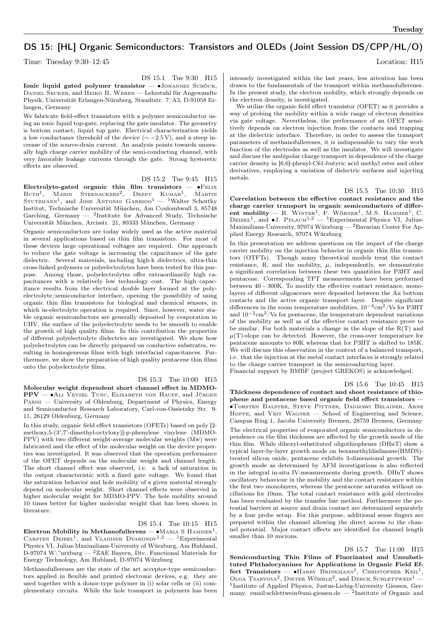# DS 15: [HL] Organic Semiconductors: Transistors and OLEDs (Joint Session DS/CPP/HL/O)

Time: Tuesday 9:30–12:45 Location: H15

DS 15.1 Tue 9:30 H15

Ionic liquid gated polymer transistor — ∙Johannes Schöck, Daniel Secker, and Heiko B. Weber — Lehrstuhl für Angewandte Physik, Universität Erlangen-Nürnberg, Staudtstr. 7/A3, D-91058 Erlangen, Germany

We fabricate field-effect transistors with a polymer semiconductor using an ionic liquid top-gate, replacing the gate insulator. The geometry is bottom contact, liquid top gate. Electrical characterization yields a low conductance threshold of the device ( $\sim$  −2.5 V), and a steep increase of the source-drain current. An analysis points towards unusually high charge carrier mobility of the semi-conducting channel, with very favorable leakage currents through the gate. Strong hysteretic effects are observed.

DS 15.2 Tue 9:45 H15

Electrolyte-gated organic thin film transistors —  $\bullet$ FELIX Buth<sup>1</sup>, Marin Steenackers<sup>2</sup>, Deepu Kumar<sup>1</sup>, Martin<br>Stutzmann<sup>1</sup>, and Jose Antonio Garrido<sup>1</sup> — <sup>1</sup>Walter Schottky Institut, Technische Universität München, Am Coulombwall 3, 85748 Garching, Germany  $-$  <sup>2</sup>Institute for Advanced Study, Technische Universität München, Arcisstr. 21, 80333 München, Germany

Organic semiconductors are today widely used as the active material in several applications based on thin film transistors. For most of these devices large operational voltages are required. One approach to reduce the gate voltage is increasing the capacitance of the gate dielectric. Several materials, including high-k dielectrics, ultra-thin cross-linked polymers or polyelectrolytes have been tested for this purpose. Among those, polyelectrolytes offer extraordinarily high capacitances with a relatively low technology cost. The high capacitance results from the electrical double layer formed at the polyelectrolyte/semiconductor interface, opening the possibility of using organic thin film transistors for biological and chemical sensors, in which in-electrolyte operation is required. Since, however, water stable organic semiconductors are generally deposited by evaporation in UHV, the surface of the polyelectrolyte needs to be smooth to enable the growth of high quality films. In this contribution the properties of different polyelectrolyte dielectrics are investigated. We show how polyelectrolytes can be directly prepared on conductive substrates, resulting in homogeneous films with high interfacial capacitances. Furthermore, we show the preparation of high quality pentacene thin films onto the polyelectrolyte films.

### DS 15.3 Tue 10:00 H15

Molecular weight dependent short channel effect in MDMO-PPV — • ALI VEYSEL TUNC, ELIZABETH VON HAUFF, and JÜRGEN PARISI — University of Oldenburg, Department of Physics, Energy and Semiconductor Research Laboratory, Carl-von-Ossietzky Str. 9- 11, 26129 Oldenburg, Germany

In this study, organic field effect transistors (OFETs) based on poly [2 methoxy,5-(3',7'-dimethyl-octyloxy)]-p-phenylene vinylene (MDMO-PPV) with two different weight-average molecular weights (Mw) were fabricated and the effect of the molecular weight on the device properties was investigated. It was observed that the operation performance of the OFET depends on the molecular weight and channel length. The short channel effect was observed, i.e. a lack of saturation in the output characteristic with a fixed gate voltage. We found that the saturation behavior and hole mobility of a given material strongly depend on molecular weight. Short channel effects were observed in higher molecular weight for MDMO-PPV. The hole mobility around 10 times better for higher molecular weight that has been shown in literature.

#### DS 15.4 Tue 10:15 H15

 ${\rm Electron\; Mohility\; in\; Methanofullerens} - {\bullet}$ Maria S ${\rm HAMMER}^1,$ CARSTEN DEIBEL<sup>1</sup>, and VLADIMIR DYAKONOV<sup>1,2</sup> - <sup>1</sup>Experimental Physics VI, Julius-Maximilians-University of Würzburg, Am Hubland, D-97074 W\"urzburg — <sup>2</sup>ZAE Bayern, Div. Functional Materials for Energy Technology, Am Hubland, D-97074 Würzburg

Methanofullerenes are the state of the art acceptor-type semiconductors applied in flexible and printed electronic devices, e.g. they are used together with a donor-type polymer in (i) solar cells or (ii) complementary circuits. While the hole transport in polymers has been intensely investigated within the last years, less attention has been drawn to the fundamentals of the transport within methanofullerenes. In the present study, the electron mobility, which strongly depends on the electron density, is investigated.

We utilize the organic field effect transistor (OFET) as it provides a way of probing the mobility within a wide range of electron densities via gate voltage. Nevertheless, the performance of an OFET sensitively depends on electron injection from the contacts and trapping at the dielectric interface. Therefore, in order to assess the transport parameters of methanofullerenes, it is indispensable to vary the work function of the electrodes as well as the insulator. We will investigate and discuss the ambipolar charge transport in dependence of the charge carrier density in [6,6]-phenyl-C61-butyric acid methyl ester and other derivatives, employing a variation of dielectric surfaces and injecting metals.

#### DS 15.5 Tue 10:30 H15

Correlation between the effective contact resistance and the charge carrier transport in organic semiconductors of different mobility — R. WINTER<sup>1</sup>, F. WÖRNER<sup>1</sup>, M.S. HAMMER<sup>1</sup>, C.<br>DEIBEL<sup>1</sup>, and ●J. PFLAUM<sup>1,2</sup> — <sup>1</sup>Experimental Physics VI, Julius-Maximilians-University, 97074 Würzburg — <sup>2</sup>Bavarian Center For Applied Energy Research, 97074 Würzburg

In this presentation we address questions on the impact of the charge carrier mobility on the injection behavior in organic thin film transistors (OTFTs). Though many theoretical models treat the contact resistance, R, and the mobility,  $\mu$ , independently, we demonstrate a significant correlation between these two quantities for P3HT and pentacene. Corresponding TFT measurements have been performed between 40 - 300K. To modify the effective contact resistance, monolayers of different oligoacenes were deposited between the Au bottom contacts and the active organic transport layer. Despite significant differences in the room temperature mobilities,  $10^{-4} \rm cm^2/Vs$  for P3HT and  $10^{-2}$ cm<sup>2</sup>/Vs for pentacene, the temperature dependent variations of the mobility as well as of the effective contact resistance prove to be similar. For both materials a change in the slope of the R(T) and  $\mu(T)$ -slope can be detected. However, the cross-over temperature for pentacene amounts to 80K whereas that for P3HT is shifted to 185K. We will discuss this observation in the context of a balanced transport, i.e. that the injection at the metal contact interfaces is strongly related to the charge carrier transport in the semiconducting layer.

Financial support by BMBF (project GREKOS) is acknowledged.

DS 15.6 Tue 10:45 H15

Thickness dependence of contact and sheet resistance of thiophene and pentacene based organic field effect transistors — ∙Torsten Balster, Steve Pittner, Dagmawi Belaineh, Arne HOPPE, and VEIT WAGNER — School of Engineering and Science, Campus Ring 1, Jacobs University Bremen, 28759 Bremen, Germany The electrical properties of evaporated organic semiconductors in dependence on the film thickness are affected by the growth mode of the thin film. While dihexyl-substituted oligothiophenes (DHnT) show a typical layer-by-layer growth mode on hexamethyldisilazane(HMDS) treated silicon oxide, pentacene exhibits 3-dimensional growth. The growth mode as determined by AFM investigations is also reflected in the integral in-situ IV-measurements during growth. DHnT shows oscillatory behaviour in the mobility and the contact resistance within the first two monolayers, whereas the pentacene saturates without oscillations for 10nm. The total contact resistance with gold electrodes has been evaluated by the transfer line method. Furthermore the potential barriers at source and drain contact are determined separately by a four probe setup. For this purpose, additional sense fingers are prepared within the channel allowing the direct access to the channel potential. Major contact effects are identified for channel length smaller than 10 microns.

DS 15.7 Tue 11:00 H15 Semiconducting Thin Films of Fluorinated and Unsubstituted Phthalocyanines for Applications in Organic Field Effect Transistors —  $\bullet$ HARRY BRINKMANN<sup>1</sup>, CHRISTOPHER KEIL<sup>1</sup>, OLGA TSARYOVA<sup>2</sup>, DIETER WÖHRLE<sup>2</sup>, and DERCK SCHLETTWEIN<sup>1</sup> — 1 Institute of Applied Physics, Justus-Liebig-University Giessen, Germany. email:schlettwein@uni-giessen.de — <sup>2</sup> Institute of Organic and